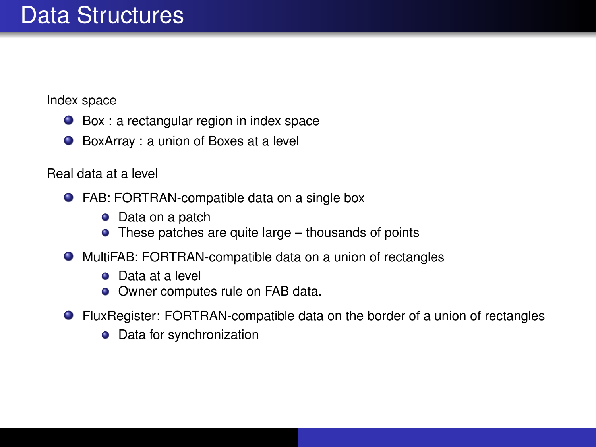### Data Structures

Index space

- Box : a rectangular region in index space
- BoxArray : a union of Boxes at a level

Real data at a level

- FAB: FORTRAN-compatible data on a single box
	- $\bullet$ Data on a patch
	- These patches are quite large thousands of points
- MultiFAB: FORTRAN-compatible data on a union of rectangles
	- **O** Data at a level
	- Owner computes rule on FAB data.
- FluxRegister: FORTRAN-compatible data on the border of a union of rectangles
	- Data for synchronization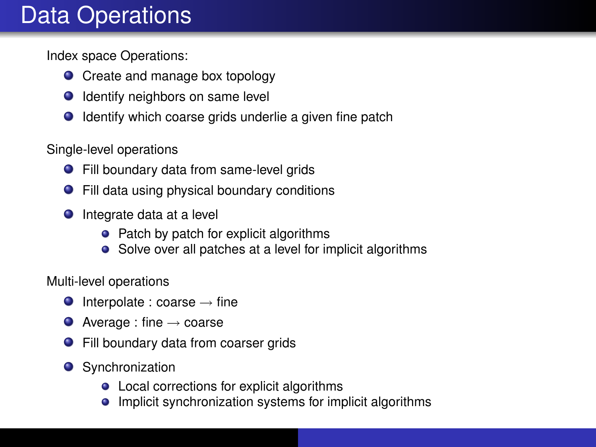## Data Operations

Index space Operations:

- Create and manage box topology
- Identify neighbors on same level
- Identify which coarse grids underlie a given fine patch

Single-level operations

- Fill boundary data from same-level grids
- Fill data using physical boundary conditions
- **O** Integrate data at a level
	- Patch by patch for explicit algorithms
	- Solve over all patches at a level for implicit algorithms

Multi-level operations

- $\bullet$  Interpolate : coarse  $\rightarrow$  fine
- $\bullet$  Average : fine  $\rightarrow$  coarse
- **•** Fill boundary data from coarser grids
- **O** Synchronization
	- Local corrections for explicit algorithms
	- Implicit synchronization systems for implicit algorithms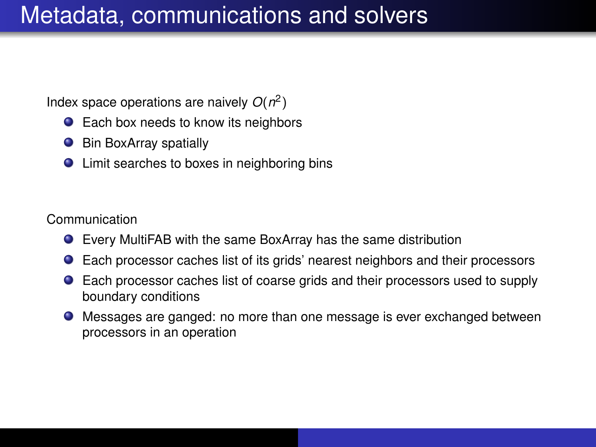#### Metadata, communications and solvers

Index space operations are naively *O*(*n* 2 )

- Each box needs to know its neighbors
- $\bullet$ Bin BoxArray spatially
- Limit searches to boxes in neighboring bins

Communication

- Every MultiFAB with the same BoxArray has the same distribution
- Each processor caches list of its grids' nearest neighbors and their processors
- Each processor caches list of coarse grids and their processors used to supply  $\bullet$ boundary conditions
- Messages are ganged: no more than one message is ever exchanged between processors in an operation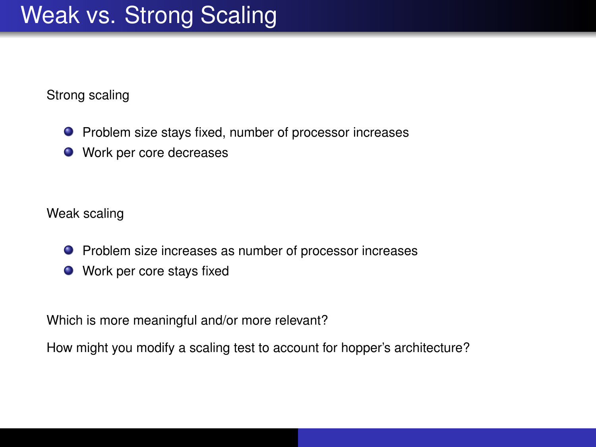## Weak vs. Strong Scaling

Strong scaling

- Problem size stays fixed, number of processor increases
- Work per core decreases

Weak scaling

- Problem size increases as number of processor increases
- Work per core stays fixed

Which is more meaningful and/or more relevant?

How might you modify a scaling test to account for hopper's architecture?